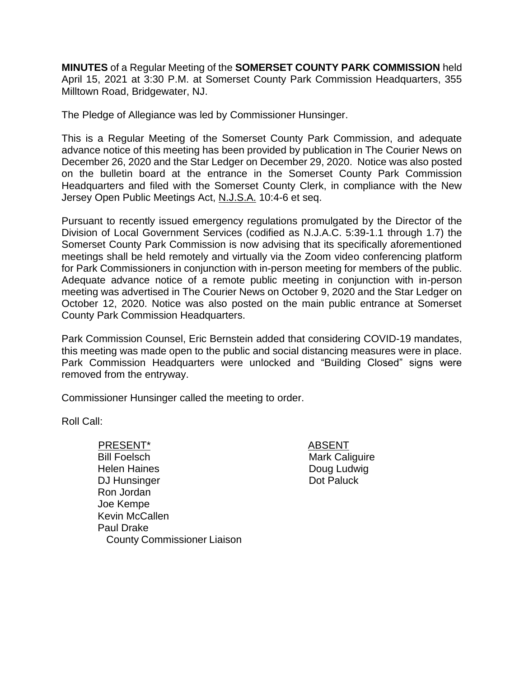**MINUTES** of a Regular Meeting of the **SOMERSET COUNTY PARK COMMISSION** held April 15, 2021 at 3:30 P.M. at Somerset County Park Commission Headquarters, 355 Milltown Road, Bridgewater, NJ.

The Pledge of Allegiance was led by Commissioner Hunsinger.

This is a Regular Meeting of the Somerset County Park Commission, and adequate advance notice of this meeting has been provided by publication in The Courier News on December 26, 2020 and the Star Ledger on December 29, 2020. Notice was also posted on the bulletin board at the entrance in the Somerset County Park Commission Headquarters and filed with the Somerset County Clerk, in compliance with the New Jersey Open Public Meetings Act, N.J.S.A. 10:4-6 et seq.

Pursuant to recently issued emergency regulations promulgated by the Director of the Division of Local Government Services (codified as N.J.A.C. 5:39-1.1 through 1.7) the Somerset County Park Commission is now advising that its specifically aforementioned meetings shall be held remotely and virtually via the Zoom video conferencing platform for Park Commissioners in conjunction with in-person meeting for members of the public. Adequate advance notice of a remote public meeting in conjunction with in-person meeting was advertised in The Courier News on October 9, 2020 and the Star Ledger on October 12, 2020. Notice was also posted on the main public entrance at Somerset County Park Commission Headquarters.

Park Commission Counsel, Eric Bernstein added that considering COVID-19 mandates, this meeting was made open to the public and social distancing measures were in place. Park Commission Headquarters were unlocked and "Building Closed" signs were removed from the entryway.

Commissioner Hunsinger called the meeting to order.

Roll Call:

#### PRESENT\* ABSENT

Bill Foelsch Helen Haines DJ Hunsinger Ron Jordan Joe Kempe Kevin McCallen Paul Drake County Commissioner Liaison Mark Caliguire Doug Ludwig Dot Paluck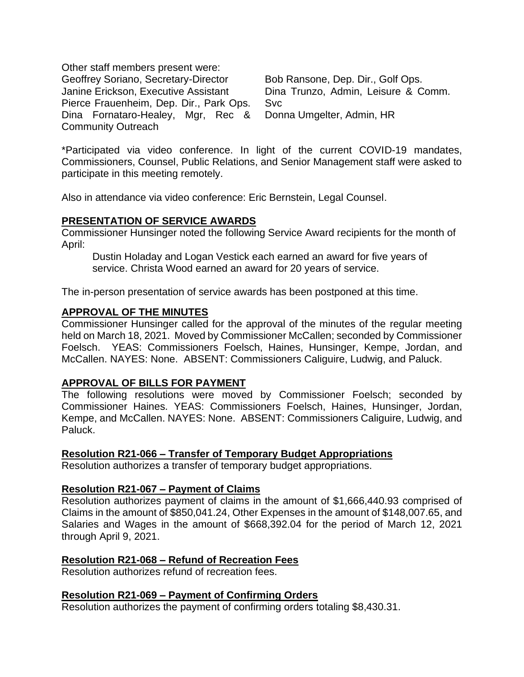Other staff members present were: Geoffrey Soriano, Secretary-Director Janine Erickson, Executive Assistant Pierce Frauenheim, Dep. Dir., Park Ops. Dina Fornataro-Healey, Mgr, Rec & Community Outreach

Bob Ransone, Dep. Dir., Golf Ops. Dina Trunzo, Admin, Leisure & Comm. Svc Donna Umgelter, Admin, HR

\*Participated via video conference. In light of the current COVID-19 mandates, Commissioners, Counsel, Public Relations, and Senior Management staff were asked to participate in this meeting remotely.

Also in attendance via video conference: Eric Bernstein, Legal Counsel.

# **PRESENTATION OF SERVICE AWARDS**

Commissioner Hunsinger noted the following Service Award recipients for the month of April:

Dustin Holaday and Logan Vestick each earned an award for five years of service. Christa Wood earned an award for 20 years of service.

The in-person presentation of service awards has been postponed at this time.

### **APPROVAL OF THE MINUTES**

Commissioner Hunsinger called for the approval of the minutes of the regular meeting held on March 18, 2021. Moved by Commissioner McCallen; seconded by Commissioner Foelsch. YEAS: Commissioners Foelsch, Haines, Hunsinger, Kempe, Jordan, and McCallen. NAYES: None. ABSENT: Commissioners Caliguire, Ludwig, and Paluck.

## **APPROVAL OF BILLS FOR PAYMENT**

The following resolutions were moved by Commissioner Foelsch; seconded by Commissioner Haines. YEAS: Commissioners Foelsch, Haines, Hunsinger, Jordan, Kempe, and McCallen. NAYES: None. ABSENT: Commissioners Caliguire, Ludwig, and Paluck.

### **Resolution R21-066 – Transfer of Temporary Budget Appropriations**

Resolution authorizes a transfer of temporary budget appropriations.

### **Resolution R21-067 – Payment of Claims**

Resolution authorizes payment of claims in the amount of \$1,666,440.93 comprised of Claims in the amount of \$850,041.24, Other Expenses in the amount of \$148,007.65, and Salaries and Wages in the amount of \$668,392.04 for the period of March 12, 2021 through April 9, 2021.

### **Resolution R21-068 – Refund of Recreation Fees**

Resolution authorizes refund of recreation fees.

### **Resolution R21-069 – Payment of Confirming Orders**

Resolution authorizes the payment of confirming orders totaling \$8,430.31.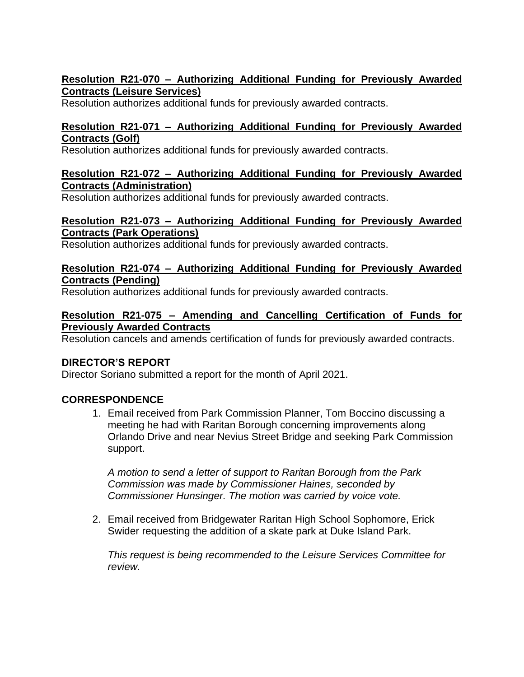## **Resolution R21-070 – Authorizing Additional Funding for Previously Awarded Contracts (Leisure Services)**

Resolution authorizes additional funds for previously awarded contracts.

## **Resolution R21-071 – Authorizing Additional Funding for Previously Awarded Contracts (Golf)**

Resolution authorizes additional funds for previously awarded contracts.

### **Resolution R21-072 – Authorizing Additional Funding for Previously Awarded Contracts (Administration)**

Resolution authorizes additional funds for previously awarded contracts.

## **Resolution R21-073 – Authorizing Additional Funding for Previously Awarded Contracts (Park Operations)**

Resolution authorizes additional funds for previously awarded contracts.

## **Resolution R21-074 – Authorizing Additional Funding for Previously Awarded Contracts (Pending)**

Resolution authorizes additional funds for previously awarded contracts.

### **Resolution R21-075 – Amending and Cancelling Certification of Funds for Previously Awarded Contracts**

Resolution cancels and amends certification of funds for previously awarded contracts.

# **DIRECTOR'S REPORT**

Director Soriano submitted a report for the month of April 2021.

# **CORRESPONDENCE**

1. Email received from Park Commission Planner, Tom Boccino discussing a meeting he had with Raritan Borough concerning improvements along Orlando Drive and near Nevius Street Bridge and seeking Park Commission support.

*A motion to send a letter of support to Raritan Borough from the Park Commission was made by Commissioner Haines, seconded by Commissioner Hunsinger. The motion was carried by voice vote.*

2. Email received from Bridgewater Raritan High School Sophomore, Erick Swider requesting the addition of a skate park at Duke Island Park.

*This request is being recommended to the Leisure Services Committee for review.*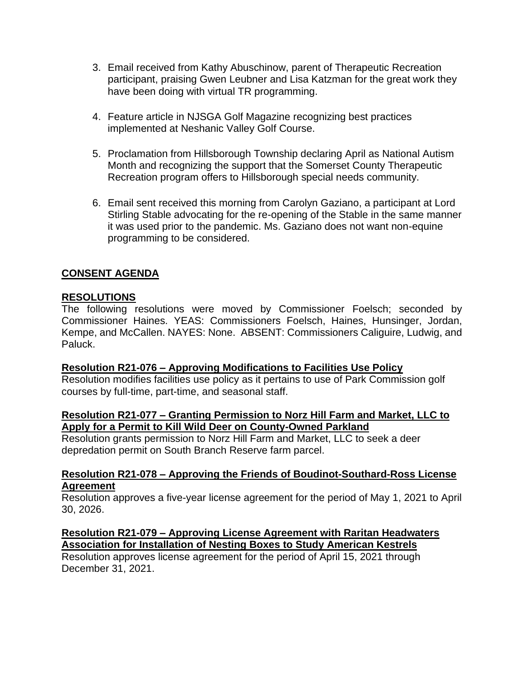- 3. Email received from Kathy Abuschinow, parent of Therapeutic Recreation participant, praising Gwen Leubner and Lisa Katzman for the great work they have been doing with virtual TR programming.
- 4. Feature article in NJSGA Golf Magazine recognizing best practices implemented at Neshanic Valley Golf Course.
- 5. Proclamation from Hillsborough Township declaring April as National Autism Month and recognizing the support that the Somerset County Therapeutic Recreation program offers to Hillsborough special needs community.
- 6. Email sent received this morning from Carolyn Gaziano, a participant at Lord Stirling Stable advocating for the re-opening of the Stable in the same manner it was used prior to the pandemic. Ms. Gaziano does not want non-equine programming to be considered.

# **CONSENT AGENDA**

### **RESOLUTIONS**

The following resolutions were moved by Commissioner Foelsch; seconded by Commissioner Haines. YEAS: Commissioners Foelsch, Haines, Hunsinger, Jordan, Kempe, and McCallen. NAYES: None. ABSENT: Commissioners Caliguire, Ludwig, and Paluck.

### **Resolution R21-076 – Approving Modifications to Facilities Use Policy**

Resolution modifies facilities use policy as it pertains to use of Park Commission golf courses by full-time, part-time, and seasonal staff.

### **Resolution R21-077 – Granting Permission to Norz Hill Farm and Market, LLC to Apply for a Permit to Kill Wild Deer on County-Owned Parkland**

Resolution grants permission to Norz Hill Farm and Market, LLC to seek a deer depredation permit on South Branch Reserve farm parcel.

#### **Resolution R21-078 – Approving the Friends of Boudinot-Southard-Ross License Agreement**

Resolution approves a five-year license agreement for the period of May 1, 2021 to April 30, 2026.

## **Resolution R21-079 – Approving License Agreement with Raritan Headwaters Association for Installation of Nesting Boxes to Study American Kestrels**

Resolution approves license agreement for the period of April 15, 2021 through December 31, 2021.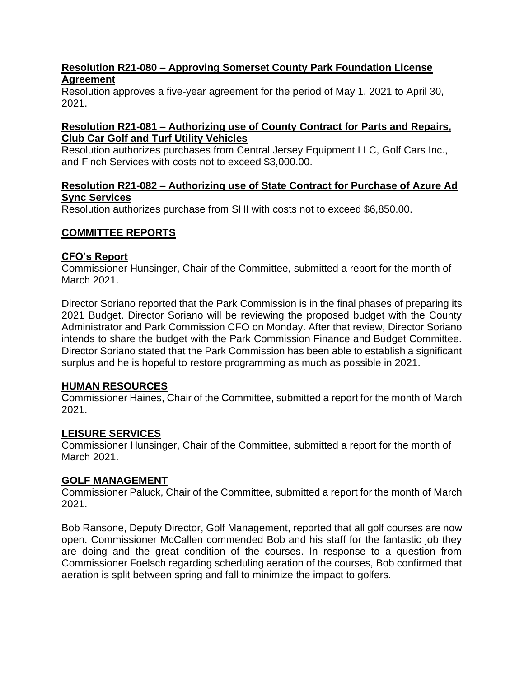## **Resolution R21-080 – Approving Somerset County Park Foundation License Agreement**

Resolution approves a five-year agreement for the period of May 1, 2021 to April 30, 2021.

### **Resolution R21-081 – Authorizing use of County Contract for Parts and Repairs, Club Car Golf and Turf Utility Vehicles**

Resolution authorizes purchases from Central Jersey Equipment LLC, Golf Cars Inc., and Finch Services with costs not to exceed \$3,000.00.

## **Resolution R21-082 – Authorizing use of State Contract for Purchase of Azure Ad Sync Services**

Resolution authorizes purchase from SHI with costs not to exceed \$6,850.00.

# **COMMITTEE REPORTS**

## **CFO's Report**

Commissioner Hunsinger, Chair of the Committee, submitted a report for the month of March 2021.

Director Soriano reported that the Park Commission is in the final phases of preparing its 2021 Budget. Director Soriano will be reviewing the proposed budget with the County Administrator and Park Commission CFO on Monday. After that review, Director Soriano intends to share the budget with the Park Commission Finance and Budget Committee. Director Soriano stated that the Park Commission has been able to establish a significant surplus and he is hopeful to restore programming as much as possible in 2021.

### **HUMAN RESOURCES**

Commissioner Haines, Chair of the Committee, submitted a report for the month of March 2021.

# **LEISURE SERVICES**

Commissioner Hunsinger, Chair of the Committee, submitted a report for the month of March 2021.

### **GOLF MANAGEMENT**

Commissioner Paluck, Chair of the Committee, submitted a report for the month of March 2021.

Bob Ransone, Deputy Director, Golf Management, reported that all golf courses are now open. Commissioner McCallen commended Bob and his staff for the fantastic job they are doing and the great condition of the courses. In response to a question from Commissioner Foelsch regarding scheduling aeration of the courses, Bob confirmed that aeration is split between spring and fall to minimize the impact to golfers.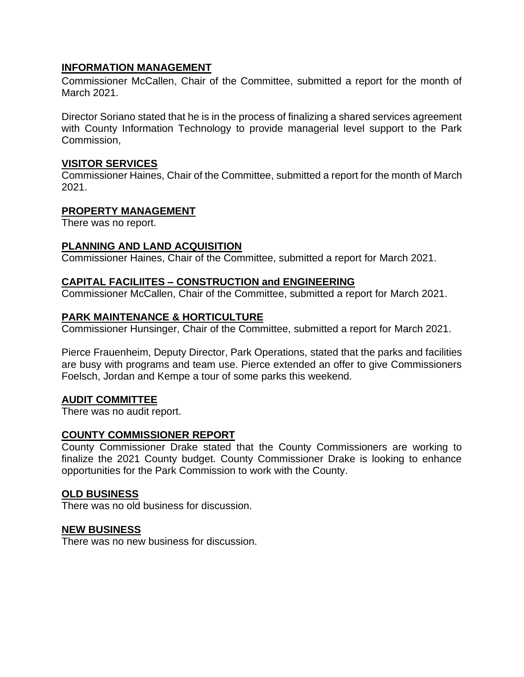## **INFORMATION MANAGEMENT**

Commissioner McCallen, Chair of the Committee, submitted a report for the month of March 2021.

Director Soriano stated that he is in the process of finalizing a shared services agreement with County Information Technology to provide managerial level support to the Park Commission,

### **VISITOR SERVICES**

Commissioner Haines, Chair of the Committee, submitted a report for the month of March 2021.

#### **PROPERTY MANAGEMENT**

There was no report.

#### **PLANNING AND LAND ACQUISITION**

Commissioner Haines, Chair of the Committee, submitted a report for March 2021.

#### **CAPITAL FACILIITES – CONSTRUCTION and ENGINEERING**

Commissioner McCallen, Chair of the Committee, submitted a report for March 2021.

### **PARK MAINTENANCE & HORTICULTURE**

Commissioner Hunsinger, Chair of the Committee, submitted a report for March 2021.

Pierce Frauenheim, Deputy Director, Park Operations, stated that the parks and facilities are busy with programs and team use. Pierce extended an offer to give Commissioners Foelsch, Jordan and Kempe a tour of some parks this weekend.

### **AUDIT COMMITTEE**

There was no audit report.

### **COUNTY COMMISSIONER REPORT**

County Commissioner Drake stated that the County Commissioners are working to finalize the 2021 County budget. County Commissioner Drake is looking to enhance opportunities for the Park Commission to work with the County.

#### **OLD BUSINESS**

There was no old business for discussion.

#### **NEW BUSINESS**

There was no new business for discussion.